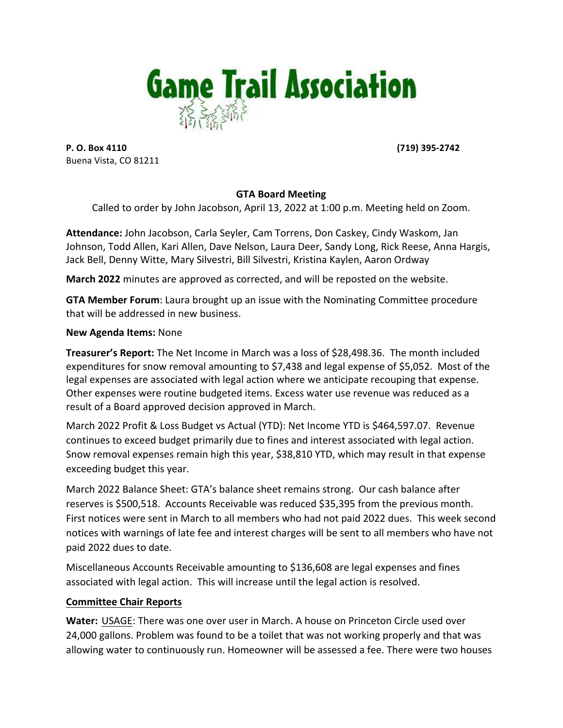

**P. O. Box 4110 (719)** 395-2742 Buena Vista, CO 81211

#### **GTA Board Meeting**

Called to order by John Jacobson, April 13, 2022 at 1:00 p.m. Meeting held on Zoom.

Attendance: John Jacobson, Carla Seyler, Cam Torrens, Don Caskey, Cindy Waskom, Jan Johnson, Todd Allen, Kari Allen, Dave Nelson, Laura Deer, Sandy Long, Rick Reese, Anna Hargis, Jack Bell, Denny Witte, Mary Silvestri, Bill Silvestri, Kristina Kaylen, Aaron Ordway

**March 2022** minutes are approved as corrected, and will be reposted on the website.

**GTA Member Forum:** Laura brought up an issue with the Nominating Committee procedure that will be addressed in new business.

#### **New Agenda Items: None**

**Treasurer's Report:** The Net Income in March was a loss of \$28,498.36. The month included expenditures for snow removal amounting to \$7,438 and legal expense of \$5,052. Most of the legal expenses are associated with legal action where we anticipate recouping that expense. Other expenses were routine budgeted items. Excess water use revenue was reduced as a result of a Board approved decision approved in March.

March 2022 Profit & Loss Budget vs Actual (YTD): Net Income YTD is \$464,597.07. Revenue continues to exceed budget primarily due to fines and interest associated with legal action. Snow removal expenses remain high this year, \$38,810 YTD, which may result in that expense exceeding budget this year.

March 2022 Balance Sheet: GTA's balance sheet remains strong. Our cash balance after reserves is \$500,518. Accounts Receivable was reduced \$35,395 from the previous month. First notices were sent in March to all members who had not paid 2022 dues. This week second notices with warnings of late fee and interest charges will be sent to all members who have not paid 2022 dues to date.

Miscellaneous Accounts Receivable amounting to \$136,608 are legal expenses and fines associated with legal action. This will increase until the legal action is resolved.

### **Committee Chair Reports**

**Water:** USAGE: There was one over user in March. A house on Princeton Circle used over 24,000 gallons. Problem was found to be a toilet that was not working properly and that was allowing water to continuously run. Homeowner will be assessed a fee. There were two houses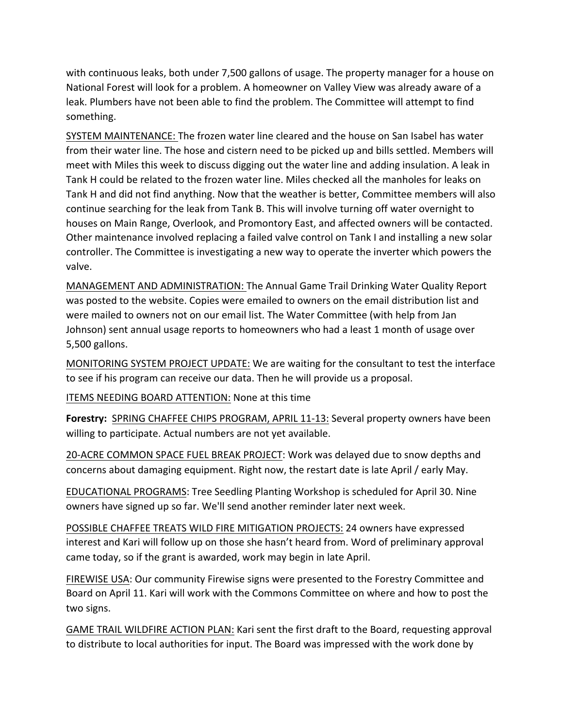with continuous leaks, both under 7,500 gallons of usage. The property manager for a house on National Forest will look for a problem. A homeowner on Valley View was already aware of a leak. Plumbers have not been able to find the problem. The Committee will attempt to find something.

SYSTEM MAINTENANCE: The frozen water line cleared and the house on San Isabel has water from their water line. The hose and cistern need to be picked up and bills settled. Members will meet with Miles this week to discuss digging out the water line and adding insulation. A leak in Tank H could be related to the frozen water line. Miles checked all the manholes for leaks on Tank H and did not find anything. Now that the weather is better, Committee members will also continue searching for the leak from Tank B. This will involve turning off water overnight to houses on Main Range, Overlook, and Promontory East, and affected owners will be contacted. Other maintenance involved replacing a failed valve control on Tank I and installing a new solar controller. The Committee is investigating a new way to operate the inverter which powers the valve.

MANAGEMENT AND ADMINISTRATION: The Annual Game Trail Drinking Water Quality Report was posted to the website. Copies were emailed to owners on the email distribution list and were mailed to owners not on our email list. The Water Committee (with help from Jan Johnson) sent annual usage reports to homeowners who had a least 1 month of usage over 5,500 gallons.

MONITORING SYSTEM PROJECT UPDATE: We are waiting for the consultant to test the interface to see if his program can receive our data. Then he will provide us a proposal.

ITEMS NEEDING BOARD ATTENTION: None at this time

Forestry: SPRING CHAFFEE CHIPS PROGRAM, APRIL 11-13: Several property owners have been willing to participate. Actual numbers are not yet available.

20-ACRE COMMON SPACE FUEL BREAK PROJECT: Work was delayed due to snow depths and concerns about damaging equipment. Right now, the restart date is late April / early May.

EDUCATIONAL PROGRAMS: Tree Seedling Planting Workshop is scheduled for April 30. Nine owners have signed up so far. We'll send another reminder later next week.

POSSIBLE CHAFFEE TREATS WILD FIRE MITIGATION PROJECTS: 24 owners have expressed interest and Kari will follow up on those she hasn't heard from. Word of preliminary approval came today, so if the grant is awarded, work may begin in late April.

FIREWISE USA: Our community Firewise signs were presented to the Forestry Committee and Board on April 11. Kari will work with the Commons Committee on where and how to post the two signs.

GAME TRAIL WILDFIRE ACTION PLAN: Kari sent the first draft to the Board, requesting approval to distribute to local authorities for input. The Board was impressed with the work done by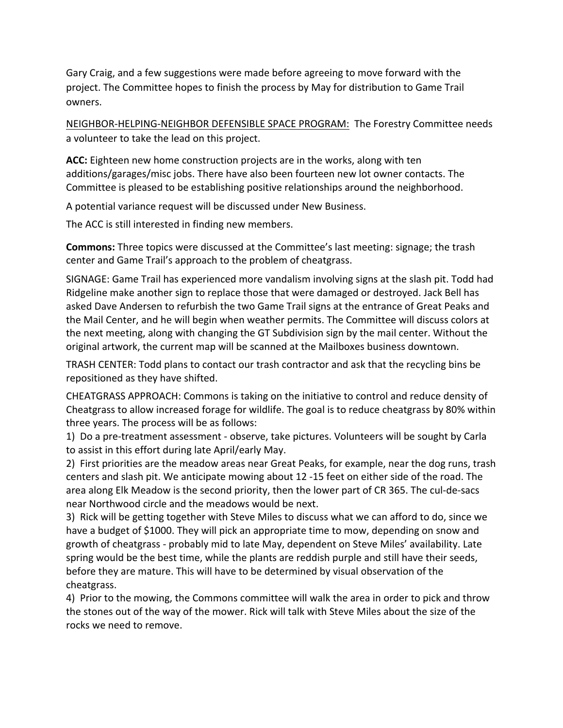Gary Craig, and a few suggestions were made before agreeing to move forward with the project. The Committee hopes to finish the process by May for distribution to Game Trail owners.

NEIGHBOR-HELPING-NEIGHBOR DEFENSIBLE SPACE PROGRAM: The Forestry Committee needs a volunteer to take the lead on this project.

**ACC:** Eighteen new home construction projects are in the works, along with ten additions/garages/misc jobs. There have also been fourteen new lot owner contacts. The Committee is pleased to be establishing positive relationships around the neighborhood.

A potential variance request will be discussed under New Business.

The ACC is still interested in finding new members.

**Commons:** Three topics were discussed at the Committee's last meeting: signage; the trash center and Game Trail's approach to the problem of cheatgrass.

SIGNAGE: Game Trail has experienced more vandalism involving signs at the slash pit. Todd had Ridgeline make another sign to replace those that were damaged or destroyed. Jack Bell has asked Dave Andersen to refurbish the two Game Trail signs at the entrance of Great Peaks and the Mail Center, and he will begin when weather permits. The Committee will discuss colors at the next meeting, along with changing the GT Subdivision sign by the mail center. Without the original artwork, the current map will be scanned at the Mailboxes business downtown.

TRASH CENTER: Todd plans to contact our trash contractor and ask that the recycling bins be repositioned as they have shifted.

CHEATGRASS APPROACH: Commons is taking on the initiative to control and reduce density of Cheatgrass to allow increased forage for wildlife. The goal is to reduce cheatgrass by 80% within three years. The process will be as follows:

1) Do a pre-treatment assessment - observe, take pictures. Volunteers will be sought by Carla to assist in this effort during late April/early May.

2) First priorities are the meadow areas near Great Peaks, for example, near the dog runs, trash centers and slash pit. We anticipate mowing about 12 -15 feet on either side of the road. The area along Elk Meadow is the second priority, then the lower part of CR 365. The cul-de-sacs near Northwood circle and the meadows would be next.

3) Rick will be getting together with Steve Miles to discuss what we can afford to do, since we have a budget of \$1000. They will pick an appropriate time to mow, depending on snow and growth of cheatgrass - probably mid to late May, dependent on Steve Miles' availability. Late spring would be the best time, while the plants are reddish purple and still have their seeds, before they are mature. This will have to be determined by visual observation of the cheatgrass.

4) Prior to the mowing, the Commons committee will walk the area in order to pick and throw the stones out of the way of the mower. Rick will talk with Steve Miles about the size of the rocks we need to remove.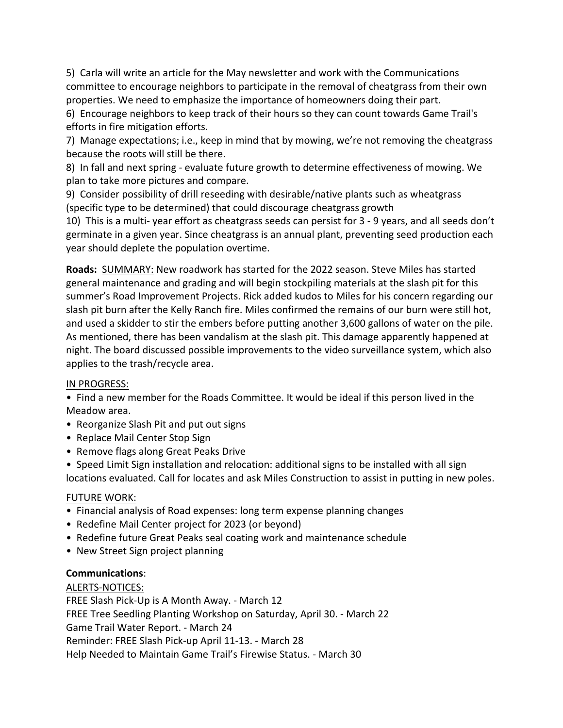5) Carla will write an article for the May newsletter and work with the Communications committee to encourage neighbors to participate in the removal of cheatgrass from their own properties. We need to emphasize the importance of homeowners doing their part.

6) Encourage neighbors to keep track of their hours so they can count towards Game Trail's efforts in fire mitigation efforts.

7) Manage expectations; i.e., keep in mind that by mowing, we're not removing the cheatgrass because the roots will still be there.

8) In fall and next spring - evaluate future growth to determine effectiveness of mowing. We plan to take more pictures and compare.

9) Consider possibility of drill reseeding with desirable/native plants such as wheatgrass (specific type to be determined) that could discourage cheatgrass growth

10) This is a multi- year effort as cheatgrass seeds can persist for 3 - 9 years, and all seeds don't germinate in a given year. Since cheatgrass is an annual plant, preventing seed production each year should deplete the population overtime.

**Roads:** SUMMARY: New roadwork has started for the 2022 season. Steve Miles has started general maintenance and grading and will begin stockpiling materials at the slash pit for this summer's Road Improvement Projects. Rick added kudos to Miles for his concern regarding our slash pit burn after the Kelly Ranch fire. Miles confirmed the remains of our burn were still hot, and used a skidder to stir the embers before putting another 3,600 gallons of water on the pile. As mentioned, there has been vandalism at the slash pit. This damage apparently happened at night. The board discussed possible improvements to the video surveillance system, which also applies to the trash/recycle area.

### IN PROGRESS:

• Find a new member for the Roads Committee. It would be ideal if this person lived in the Meadow area.

- Reorganize Slash Pit and put out signs
- Replace Mail Center Stop Sign
- Remove flags along Great Peaks Drive
- Speed Limit Sign installation and relocation: additional signs to be installed with all sign locations evaluated. Call for locates and ask Miles Construction to assist in putting in new poles.

### **FUTURE WORK:**

- Financial analysis of Road expenses: long term expense planning changes
- Redefine Mail Center project for 2023 (or beyond)
- Redefine future Great Peaks seal coating work and maintenance schedule
- New Street Sign project planning

### **Communications**:

### ALERTS-NOTICES:

FREE Slash Pick-Up is A Month Away. - March 12 FREE Tree Seedling Planting Workshop on Saturday, April 30. - March 22 Game Trail Water Report. - March 24 Reminder: FREE Slash Pick-up April 11-13. - March 28 Help Needed to Maintain Game Trail's Firewise Status. - March 30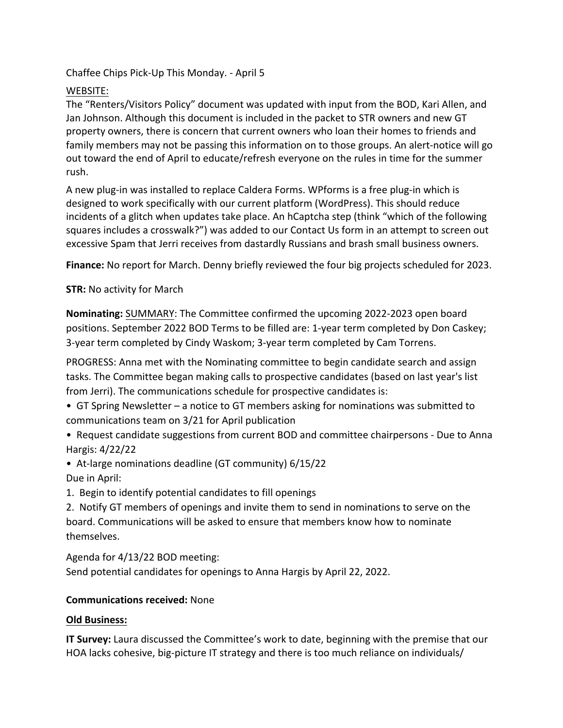Chaffee Chips Pick-Up This Monday. - April 5

# WEBSITE:

The "Renters/Visitors Policy" document was updated with input from the BOD, Kari Allen, and Jan Johnson. Although this document is included in the packet to STR owners and new GT property owners, there is concern that current owners who loan their homes to friends and family members may not be passing this information on to those groups. An alert-notice will go out toward the end of April to educate/refresh everyone on the rules in time for the summer rush.

A new plug-in was installed to replace Caldera Forms. WPforms is a free plug-in which is designed to work specifically with our current platform (WordPress). This should reduce incidents of a glitch when updates take place. An hCaptcha step (think "which of the following squares includes a crosswalk?") was added to our Contact Us form in an attempt to screen out excessive Spam that Jerri receives from dastardly Russians and brash small business owners.

**Finance:** No report for March. Denny briefly reviewed the four big projects scheduled for 2023.

# **STR:** No activity for March

**Nominating:** SUMMARY: The Committee confirmed the upcoming 2022-2023 open board positions. September 2022 BOD Terms to be filled are: 1-year term completed by Don Caskey; 3-year term completed by Cindy Waskom; 3-year term completed by Cam Torrens.

PROGRESS: Anna met with the Nominating committee to begin candidate search and assign tasks. The Committee began making calls to prospective candidates (based on last year's list from Jerri). The communications schedule for prospective candidates is:

- GT Spring Newsletter a notice to GT members asking for nominations was submitted to communications team on 3/21 for April publication
- Request candidate suggestions from current BOD and committee chairpersons Due to Anna Hargis: 4/22/22
- At-large nominations deadline (GT community) 6/15/22 Due in April:
- 1. Begin to identify potential candidates to fill openings

2. Notify GT members of openings and invite them to send in nominations to serve on the board. Communications will be asked to ensure that members know how to nominate themselves.

Agenda for 4/13/22 BOD meeting: Send potential candidates for openings to Anna Hargis by April 22, 2022.

# **Communications received: None**

# **Old Business:**

**IT Survey:** Laura discussed the Committee's work to date, beginning with the premise that our HOA lacks cohesive, big-picture IT strategy and there is too much reliance on individuals/